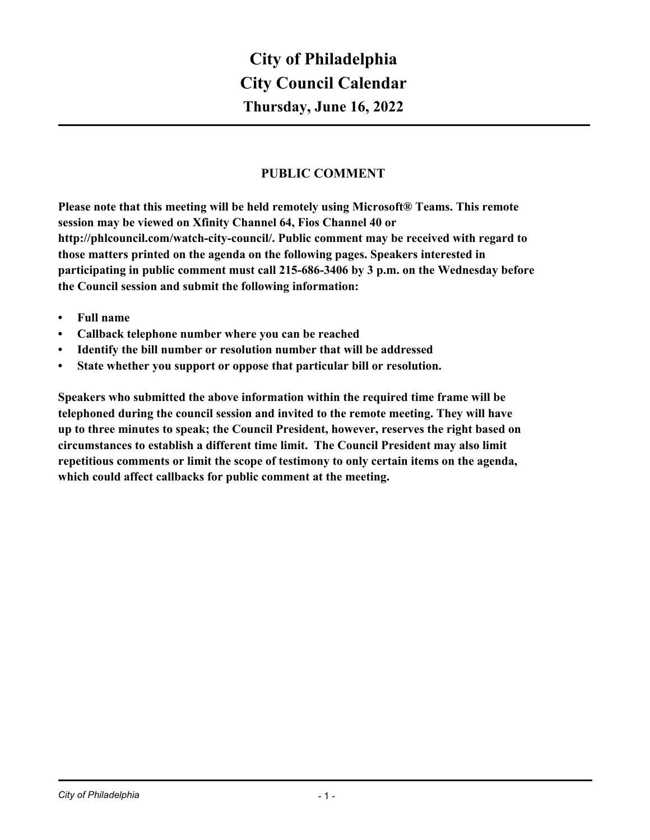# **PUBLIC COMMENT**

**Please note that this meeting will be held remotely using Microsoft® Teams. This remote session may be viewed on Xfinity Channel 64, Fios Channel 40 or http://phlcouncil.com/watch-city-council/. Public comment may be received with regard to those matters printed on the agenda on the following pages. Speakers interested in participating in public comment must call 215-686-3406 by 3 p.m. on the Wednesday before the Council session and submit the following information:**

- **• Full name**
- **• Callback telephone number where you can be reached**
- **• Identify the bill number or resolution number that will be addressed**
- **• State whether you support or oppose that particular bill or resolution.**

**Speakers who submitted the above information within the required time frame will be telephoned during the council session and invited to the remote meeting. They will have up to three minutes to speak; the Council President, however, reserves the right based on circumstances to establish a different time limit. The Council President may also limit repetitious comments or limit the scope of testimony to only certain items on the agenda, which could affect callbacks for public comment at the meeting.**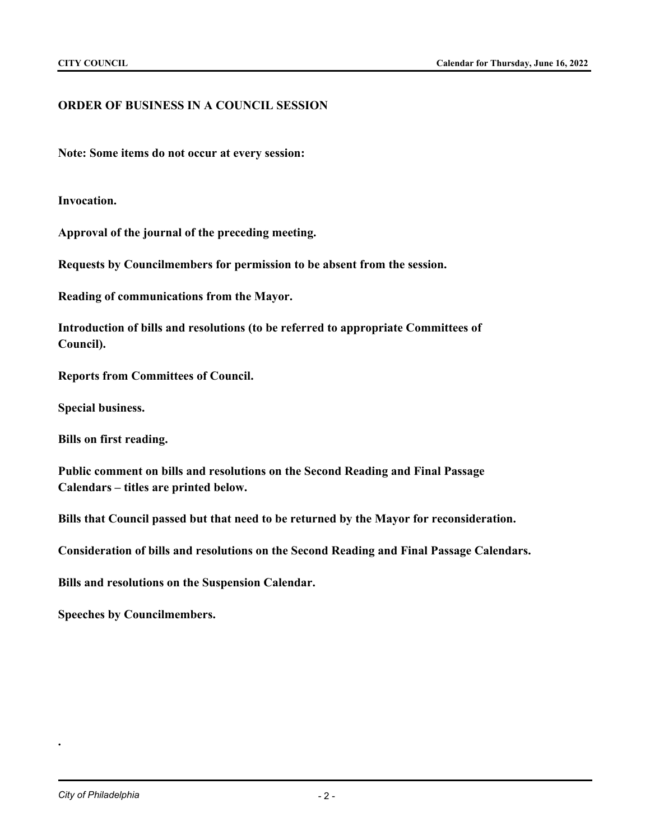# **ORDER OF BUSINESS IN A COUNCIL SESSION**

**Note: Some items do not occur at every session:**

**Invocation.**

**Approval of the journal of the preceding meeting.**

**Requests by Councilmembers for permission to be absent from the session.**

**Reading of communications from the Mayor.**

**Introduction of bills and resolutions (to be referred to appropriate Committees of Council).**

**Reports from Committees of Council.**

**Special business.**

**Bills on first reading.**

**Public comment on bills and resolutions on the Second Reading and Final Passage Calendars – titles are printed below.**

**Bills that Council passed but that need to be returned by the Mayor for reconsideration.**

**Consideration of bills and resolutions on the Second Reading and Final Passage Calendars.**

**Bills and resolutions on the Suspension Calendar.**

**Speeches by Councilmembers.**

**.**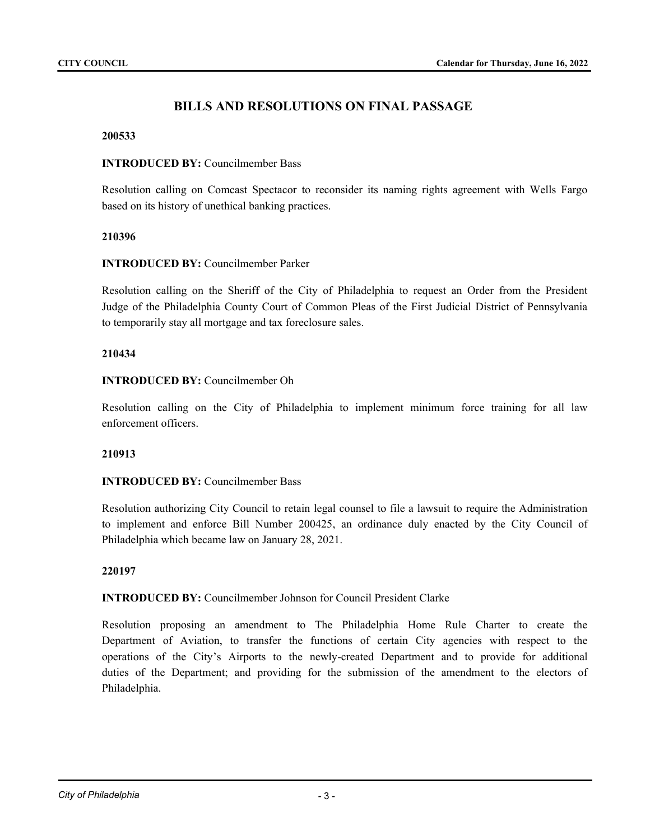# **BILLS AND RESOLUTIONS ON FINAL PASSAGE**

#### **200533**

### **INTRODUCED BY:** Councilmember Bass

Resolution calling on Comcast Spectacor to reconsider its naming rights agreement with Wells Fargo based on its history of unethical banking practices.

#### **210396**

#### **INTRODUCED BY:** Councilmember Parker

Resolution calling on the Sheriff of the City of Philadelphia to request an Order from the President Judge of the Philadelphia County Court of Common Pleas of the First Judicial District of Pennsylvania to temporarily stay all mortgage and tax foreclosure sales.

#### **210434**

#### **INTRODUCED BY:** Councilmember Oh

Resolution calling on the City of Philadelphia to implement minimum force training for all law enforcement officers.

#### **210913**

# **INTRODUCED BY:** Councilmember Bass

Resolution authorizing City Council to retain legal counsel to file a lawsuit to require the Administration to implement and enforce Bill Number 200425, an ordinance duly enacted by the City Council of Philadelphia which became law on January 28, 2021.

#### **220197**

# **INTRODUCED BY:** Councilmember Johnson for Council President Clarke

Resolution proposing an amendment to The Philadelphia Home Rule Charter to create the Department of Aviation, to transfer the functions of certain City agencies with respect to the operations of the City's Airports to the newly-created Department and to provide for additional duties of the Department; and providing for the submission of the amendment to the electors of Philadelphia.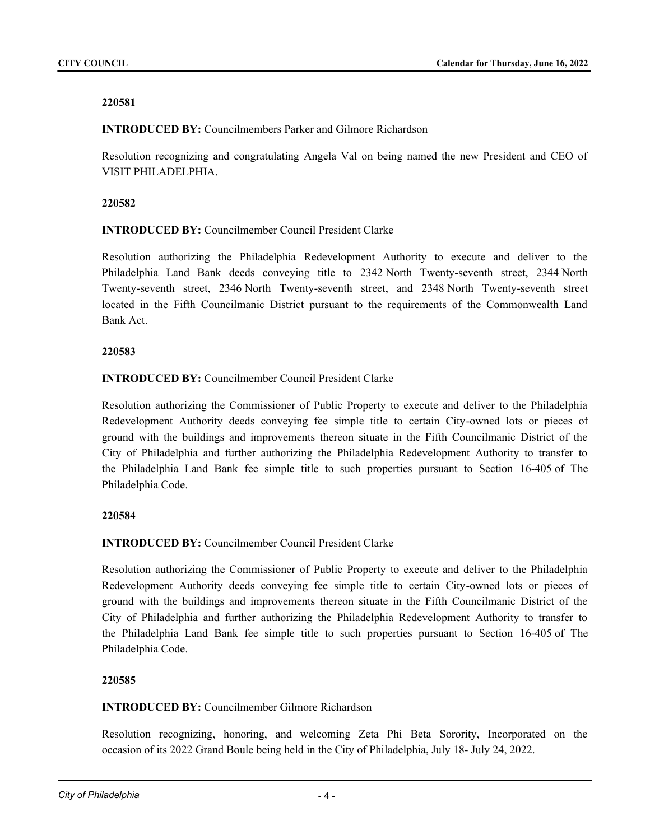**INTRODUCED BY:** Councilmembers Parker and Gilmore Richardson

Resolution recognizing and congratulating Angela Val on being named the new President and CEO of VISIT PHILADELPHIA.

# **220582**

**INTRODUCED BY:** Councilmember Council President Clarke

Resolution authorizing the Philadelphia Redevelopment Authority to execute and deliver to the Philadelphia Land Bank deeds conveying title to 2342 North Twenty-seventh street, 2344 North Twenty-seventh street, 2346 North Twenty-seventh street, and 2348 North Twenty-seventh street located in the Fifth Councilmanic District pursuant to the requirements of the Commonwealth Land Bank Act.

# **220583**

**INTRODUCED BY:** Councilmember Council President Clarke

Resolution authorizing the Commissioner of Public Property to execute and deliver to the Philadelphia Redevelopment Authority deeds conveying fee simple title to certain City-owned lots or pieces of ground with the buildings and improvements thereon situate in the Fifth Councilmanic District of the City of Philadelphia and further authorizing the Philadelphia Redevelopment Authority to transfer to the Philadelphia Land Bank fee simple title to such properties pursuant to Section 16-405 of The Philadelphia Code.

# **220584**

# **INTRODUCED BY:** Councilmember Council President Clarke

Resolution authorizing the Commissioner of Public Property to execute and deliver to the Philadelphia Redevelopment Authority deeds conveying fee simple title to certain City-owned lots or pieces of ground with the buildings and improvements thereon situate in the Fifth Councilmanic District of the City of Philadelphia and further authorizing the Philadelphia Redevelopment Authority to transfer to the Philadelphia Land Bank fee simple title to such properties pursuant to Section 16-405 of The Philadelphia Code.

# **220585**

# **INTRODUCED BY:** Councilmember Gilmore Richardson

Resolution recognizing, honoring, and welcoming Zeta Phi Beta Sorority, Incorporated on the occasion of its 2022 Grand Boule being held in the City of Philadelphia, July 18- July 24, 2022.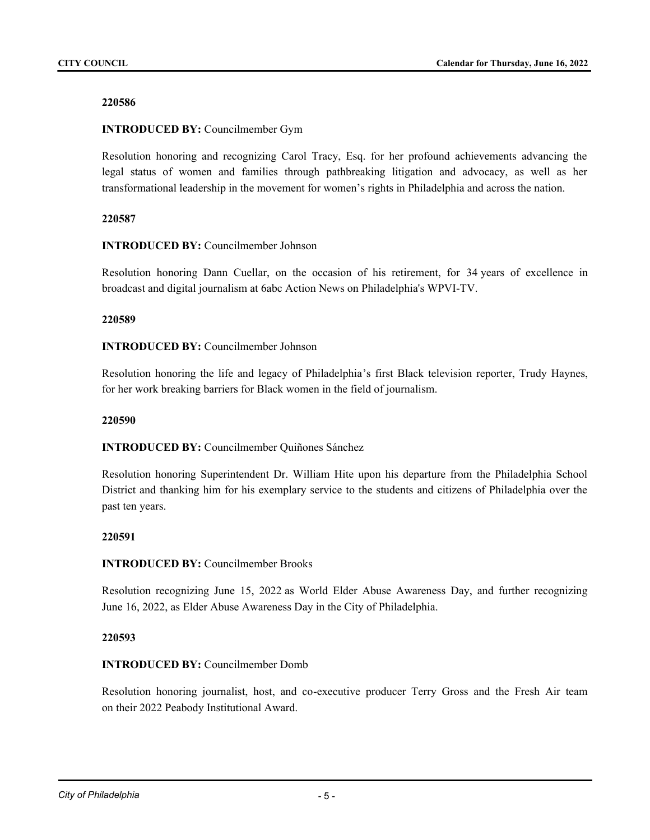# **INTRODUCED BY:** Councilmember Gym

Resolution honoring and recognizing Carol Tracy, Esq. for her profound achievements advancing the legal status of women and families through pathbreaking litigation and advocacy, as well as her transformational leadership in the movement for women's rights in Philadelphia and across the nation.

#### **220587**

#### **INTRODUCED BY:** Councilmember Johnson

Resolution honoring Dann Cuellar, on the occasion of his retirement, for 34 years of excellence in broadcast and digital journalism at 6abc Action News on Philadelphia's WPVI-TV.

#### **220589**

### **INTRODUCED BY:** Councilmember Johnson

Resolution honoring the life and legacy of Philadelphia's first Black television reporter, Trudy Haynes, for her work breaking barriers for Black women in the field of journalism.

#### **220590**

# **INTRODUCED BY:** Councilmember Quiñones Sánchez

Resolution honoring Superintendent Dr. William Hite upon his departure from the Philadelphia School District and thanking him for his exemplary service to the students and citizens of Philadelphia over the past ten years.

#### **220591**

# **INTRODUCED BY:** Councilmember Brooks

Resolution recognizing June 15, 2022 as World Elder Abuse Awareness Day, and further recognizing June 16, 2022, as Elder Abuse Awareness Day in the City of Philadelphia.

#### **220593**

# **INTRODUCED BY:** Councilmember Domb

Resolution honoring journalist, host, and co-executive producer Terry Gross and the Fresh Air team on their 2022 Peabody Institutional Award.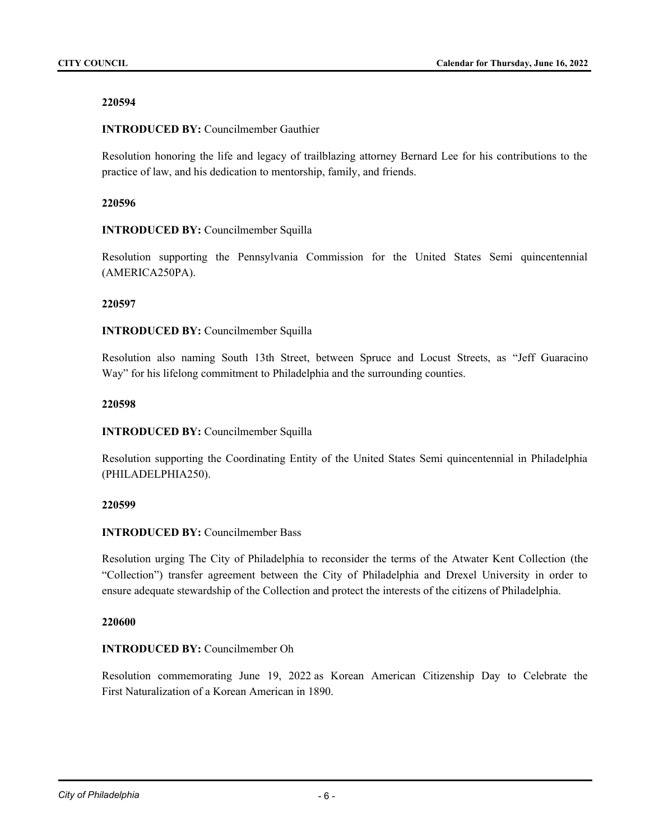# **INTRODUCED BY:** Councilmember Gauthier

Resolution honoring the life and legacy of trailblazing attorney Bernard Lee for his contributions to the practice of law, and his dedication to mentorship, family, and friends.

# **220596**

# **INTRODUCED BY:** Councilmember Squilla

Resolution supporting the Pennsylvania Commission for the United States Semi quincentennial (AMERICA250PA).

# **220597**

# **INTRODUCED BY:** Councilmember Squilla

Resolution also naming South 13th Street, between Spruce and Locust Streets, as "Jeff Guaracino Way" for his lifelong commitment to Philadelphia and the surrounding counties.

# **220598**

# **INTRODUCED BY:** Councilmember Squilla

Resolution supporting the Coordinating Entity of the United States Semi quincentennial in Philadelphia (PHILADELPHIA250).

# **220599**

# **INTRODUCED BY:** Councilmember Bass

Resolution urging The City of Philadelphia to reconsider the terms of the Atwater Kent Collection (the "Collection") transfer agreement between the City of Philadelphia and Drexel University in order to ensure adequate stewardship of the Collection and protect the interests of the citizens of Philadelphia.

# **220600**

# **INTRODUCED BY:** Councilmember Oh

Resolution commemorating June 19, 2022 as Korean American Citizenship Day to Celebrate the First Naturalization of a Korean American in 1890.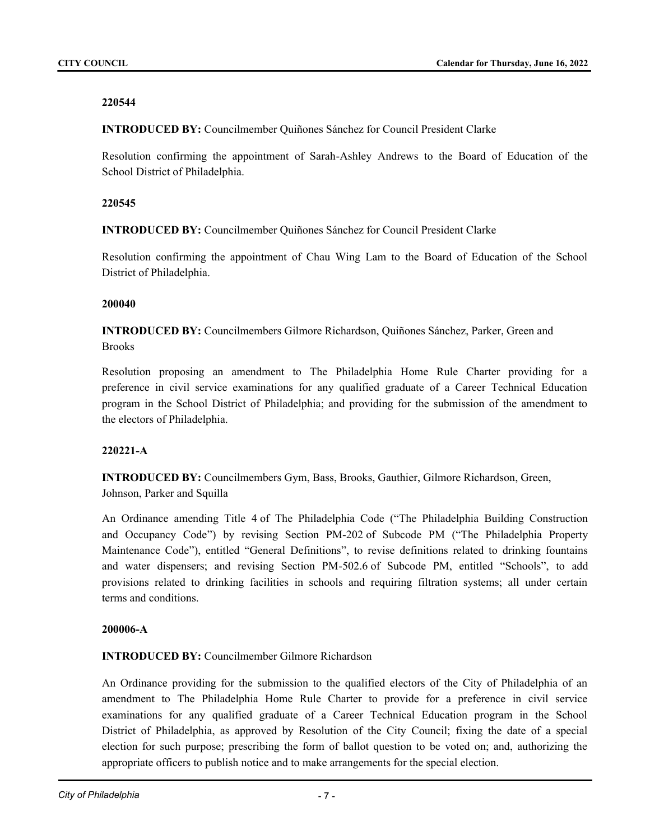**INTRODUCED BY:** Councilmember Quiñones Sánchez for Council President Clarke

Resolution confirming the appointment of Sarah-Ashley Andrews to the Board of Education of the School District of Philadelphia.

# **220545**

**INTRODUCED BY:** Councilmember Quiñones Sánchez for Council President Clarke

Resolution confirming the appointment of Chau Wing Lam to the Board of Education of the School District of Philadelphia.

# **200040**

**INTRODUCED BY:** Councilmembers Gilmore Richardson, Quiñones Sánchez, Parker, Green and Brooks

Resolution proposing an amendment to The Philadelphia Home Rule Charter providing for a preference in civil service examinations for any qualified graduate of a Career Technical Education program in the School District of Philadelphia; and providing for the submission of the amendment to the electors of Philadelphia.

# **220221-A**

**INTRODUCED BY:** Councilmembers Gym, Bass, Brooks, Gauthier, Gilmore Richardson, Green, Johnson, Parker and Squilla

An Ordinance amending Title 4 of The Philadelphia Code ("The Philadelphia Building Construction and Occupancy Code") by revising Section PM-202 of Subcode PM ("The Philadelphia Property Maintenance Code"), entitled "General Definitions", to revise definitions related to drinking fountains and water dispensers; and revising Section PM-502.6 of Subcode PM, entitled "Schools", to add provisions related to drinking facilities in schools and requiring filtration systems; all under certain terms and conditions.

# **200006-A**

# **INTRODUCED BY:** Councilmember Gilmore Richardson

An Ordinance providing for the submission to the qualified electors of the City of Philadelphia of an amendment to The Philadelphia Home Rule Charter to provide for a preference in civil service examinations for any qualified graduate of a Career Technical Education program in the School District of Philadelphia, as approved by Resolution of the City Council; fixing the date of a special election for such purpose; prescribing the form of ballot question to be voted on; and, authorizing the appropriate officers to publish notice and to make arrangements for the special election.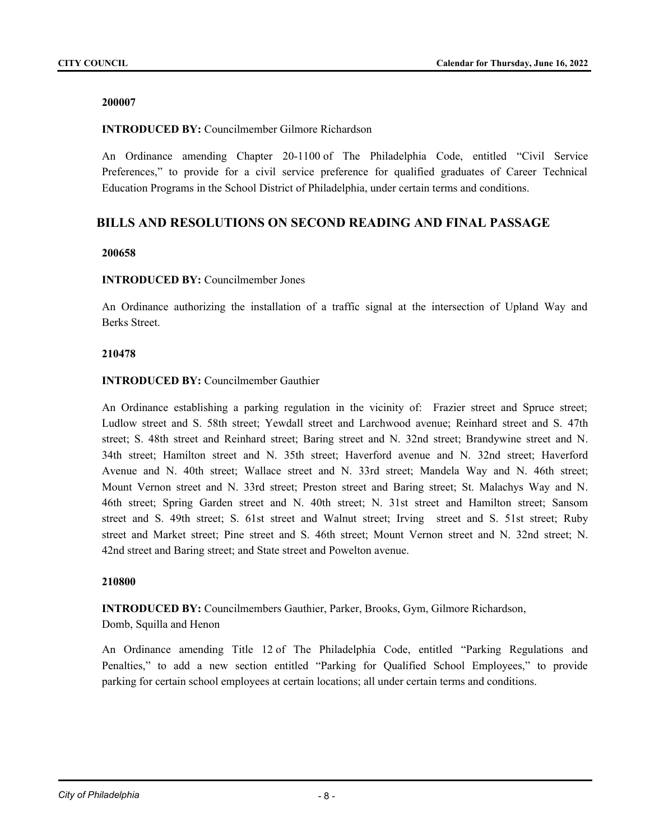### **INTRODUCED BY:** Councilmember Gilmore Richardson

An Ordinance amending Chapter 20-1100 of The Philadelphia Code, entitled "Civil Service Preferences," to provide for a civil service preference for qualified graduates of Career Technical Education Programs in the School District of Philadelphia, under certain terms and conditions.

# **BILLS AND RESOLUTIONS ON SECOND READING AND FINAL PASSAGE**

#### **200658**

#### **INTRODUCED BY:** Councilmember Jones

An Ordinance authorizing the installation of a traffic signal at the intersection of Upland Way and Berks Street.

#### **210478**

#### **INTRODUCED BY:** Councilmember Gauthier

An Ordinance establishing a parking regulation in the vicinity of: Frazier street and Spruce street; Ludlow street and S. 58th street; Yewdall street and Larchwood avenue; Reinhard street and S. 47th street; S. 48th street and Reinhard street; Baring street and N. 32nd street; Brandywine street and N. 34th street; Hamilton street and N. 35th street; Haverford avenue and N. 32nd street; Haverford Avenue and N. 40th street; Wallace street and N. 33rd street; Mandela Way and N. 46th street; Mount Vernon street and N. 33rd street; Preston street and Baring street; St. Malachys Way and N. 46th street; Spring Garden street and N. 40th street; N. 31st street and Hamilton street; Sansom street and S. 49th street; S. 61st street and Walnut street; Irving street and S. 51st street; Ruby street and Market street; Pine street and S. 46th street; Mount Vernon street and N. 32nd street; N. 42nd street and Baring street; and State street and Powelton avenue.

#### **210800**

**INTRODUCED BY:** Councilmembers Gauthier, Parker, Brooks, Gym, Gilmore Richardson,

# Domb, Squilla and Henon

An Ordinance amending Title 12 of The Philadelphia Code, entitled "Parking Regulations and Penalties," to add a new section entitled "Parking for Qualified School Employees," to provide parking for certain school employees at certain locations; all under certain terms and conditions.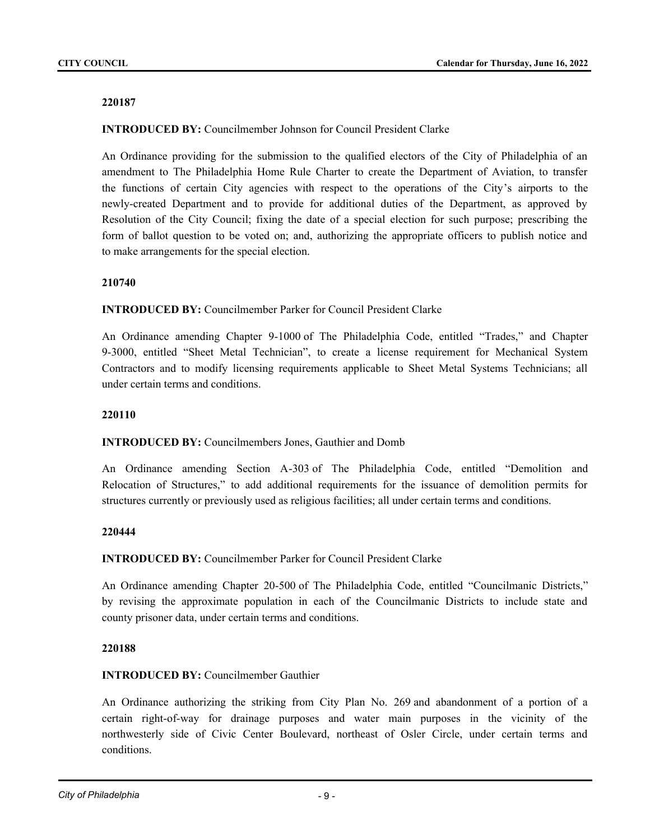### **INTRODUCED BY:** Councilmember Johnson for Council President Clarke

An Ordinance providing for the submission to the qualified electors of the City of Philadelphia of an amendment to The Philadelphia Home Rule Charter to create the Department of Aviation, to transfer the functions of certain City agencies with respect to the operations of the City's airports to the newly-created Department and to provide for additional duties of the Department, as approved by Resolution of the City Council; fixing the date of a special election for such purpose; prescribing the form of ballot question to be voted on; and, authorizing the appropriate officers to publish notice and to make arrangements for the special election.

#### **210740**

#### **INTRODUCED BY:** Councilmember Parker for Council President Clarke

An Ordinance amending Chapter 9-1000 of The Philadelphia Code, entitled "Trades," and Chapter 9-3000, entitled "Sheet Metal Technician", to create a license requirement for Mechanical System Contractors and to modify licensing requirements applicable to Sheet Metal Systems Technicians; all under certain terms and conditions.

#### **220110**

#### **INTRODUCED BY:** Councilmembers Jones, Gauthier and Domb

An Ordinance amending Section A-303 of The Philadelphia Code, entitled "Demolition and Relocation of Structures," to add additional requirements for the issuance of demolition permits for structures currently or previously used as religious facilities; all under certain terms and conditions.

#### **220444**

**INTRODUCED BY:** Councilmember Parker for Council President Clarke

An Ordinance amending Chapter 20-500 of The Philadelphia Code, entitled "Councilmanic Districts," by revising the approximate population in each of the Councilmanic Districts to include state and county prisoner data, under certain terms and conditions.

#### **220188**

# **INTRODUCED BY:** Councilmember Gauthier

An Ordinance authorizing the striking from City Plan No. 269 and abandonment of a portion of a certain right-of-way for drainage purposes and water main purposes in the vicinity of the northwesterly side of Civic Center Boulevard, northeast of Osler Circle, under certain terms and conditions.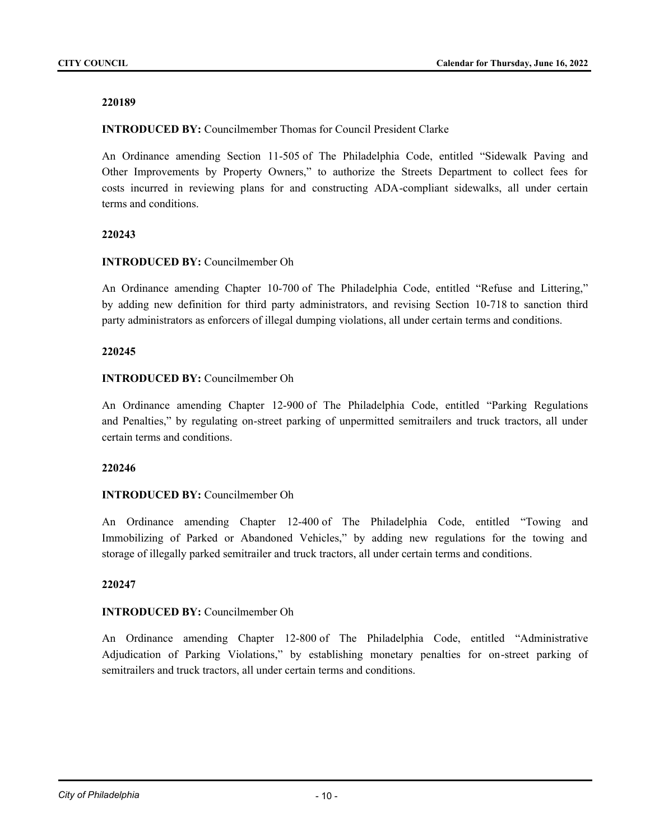**INTRODUCED BY:** Councilmember Thomas for Council President Clarke

An Ordinance amending Section 11-505 of The Philadelphia Code, entitled "Sidewalk Paving and Other Improvements by Property Owners," to authorize the Streets Department to collect fees for costs incurred in reviewing plans for and constructing ADA-compliant sidewalks, all under certain terms and conditions.

#### **220243**

### **INTRODUCED BY:** Councilmember Oh

An Ordinance amending Chapter 10-700 of The Philadelphia Code, entitled "Refuse and Littering," by adding new definition for third party administrators, and revising Section 10-718 to sanction third party administrators as enforcers of illegal dumping violations, all under certain terms and conditions.

#### **220245**

#### **INTRODUCED BY:** Councilmember Oh

An Ordinance amending Chapter 12-900 of The Philadelphia Code, entitled "Parking Regulations and Penalties," by regulating on-street parking of unpermitted semitrailers and truck tractors, all under certain terms and conditions.

#### **220246**

# **INTRODUCED BY:** Councilmember Oh

An Ordinance amending Chapter 12-400 of The Philadelphia Code, entitled "Towing and Immobilizing of Parked or Abandoned Vehicles," by adding new regulations for the towing and storage of illegally parked semitrailer and truck tractors, all under certain terms and conditions.

# **220247**

# **INTRODUCED BY:** Councilmember Oh

An Ordinance amending Chapter 12-800 of The Philadelphia Code, entitled "Administrative Adjudication of Parking Violations," by establishing monetary penalties for on-street parking of semitrailers and truck tractors, all under certain terms and conditions.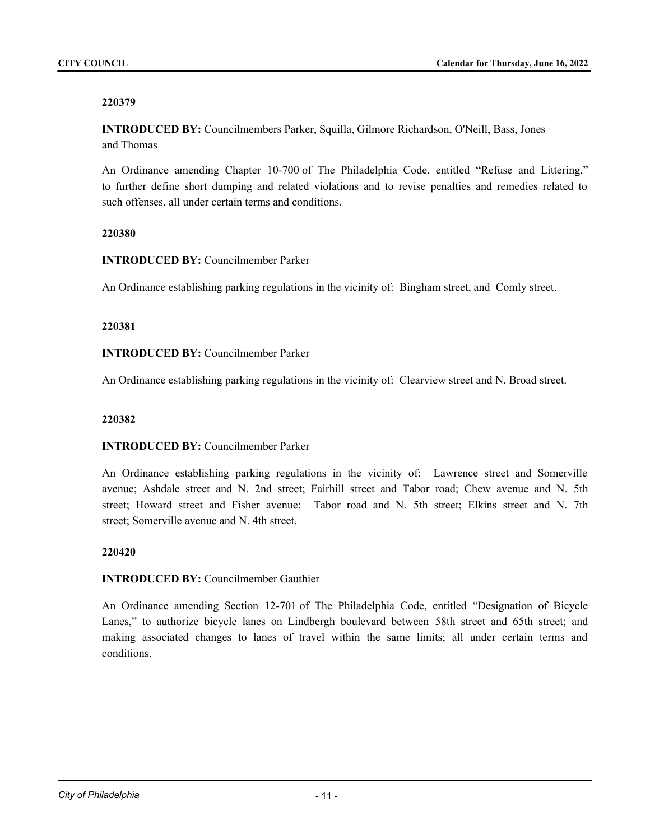**INTRODUCED BY:** Councilmembers Parker, Squilla, Gilmore Richardson, O'Neill, Bass, Jones and Thomas

An Ordinance amending Chapter 10-700 of The Philadelphia Code, entitled "Refuse and Littering," to further define short dumping and related violations and to revise penalties and remedies related to such offenses, all under certain terms and conditions.

#### **220380**

**INTRODUCED BY:** Councilmember Parker

An Ordinance establishing parking regulations in the vicinity of: Bingham street, and Comly street.

#### **220381**

#### **INTRODUCED BY:** Councilmember Parker

An Ordinance establishing parking regulations in the vicinity of: Clearview street and N. Broad street.

#### **220382**

# **INTRODUCED BY:** Councilmember Parker

An Ordinance establishing parking regulations in the vicinity of: Lawrence street and Somerville avenue; Ashdale street and N. 2nd street; Fairhill street and Tabor road; Chew avenue and N. 5th street; Howard street and Fisher avenue; Tabor road and N. 5th street; Elkins street and N. 7th street; Somerville avenue and N. 4th street.

#### **220420**

# **INTRODUCED BY:** Councilmember Gauthier

An Ordinance amending Section 12-701 of The Philadelphia Code, entitled "Designation of Bicycle Lanes," to authorize bicycle lanes on Lindbergh boulevard between 58th street and 65th street; and making associated changes to lanes of travel within the same limits; all under certain terms and conditions.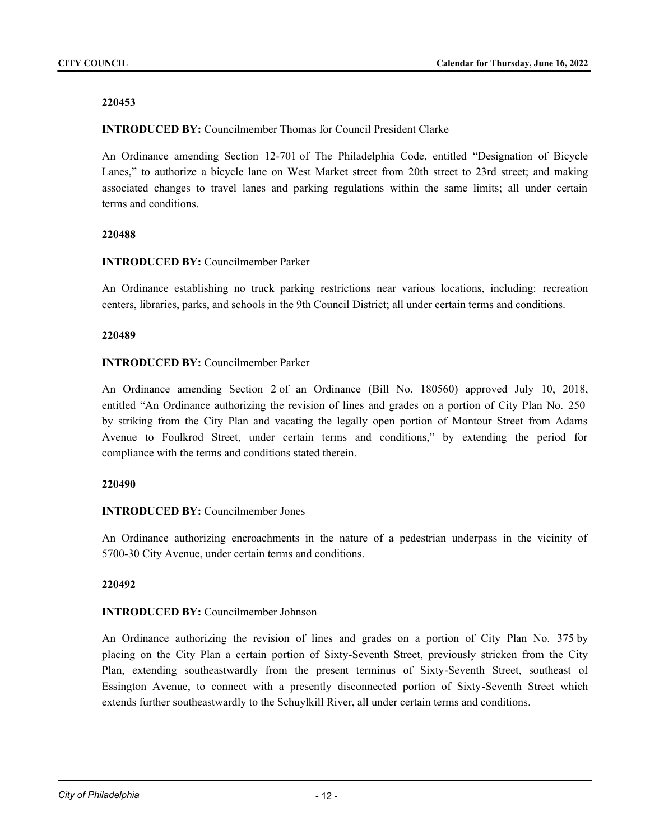**INTRODUCED BY:** Councilmember Thomas for Council President Clarke

An Ordinance amending Section 12-701 of The Philadelphia Code, entitled "Designation of Bicycle Lanes," to authorize a bicycle lane on West Market street from 20th street to 23rd street; and making associated changes to travel lanes and parking regulations within the same limits; all under certain terms and conditions.

#### **220488**

#### **INTRODUCED BY:** Councilmember Parker

An Ordinance establishing no truck parking restrictions near various locations, including: recreation centers, libraries, parks, and schools in the 9th Council District; all under certain terms and conditions.

#### **220489**

# **INTRODUCED BY:** Councilmember Parker

An Ordinance amending Section 2 of an Ordinance (Bill No. 180560) approved July 10, 2018, entitled "An Ordinance authorizing the revision of lines and grades on a portion of City Plan No. 250 by striking from the City Plan and vacating the legally open portion of Montour Street from Adams Avenue to Foulkrod Street, under certain terms and conditions," by extending the period for compliance with the terms and conditions stated therein.

#### **220490**

# **INTRODUCED BY:** Councilmember Jones

An Ordinance authorizing encroachments in the nature of a pedestrian underpass in the vicinity of 5700-30 City Avenue, under certain terms and conditions.

# **220492**

# **INTRODUCED BY:** Councilmember Johnson

An Ordinance authorizing the revision of lines and grades on a portion of City Plan No. 375 by placing on the City Plan a certain portion of Sixty-Seventh Street, previously stricken from the City Plan, extending southeastwardly from the present terminus of Sixty-Seventh Street, southeast of Essington Avenue, to connect with a presently disconnected portion of Sixty-Seventh Street which extends further southeastwardly to the Schuylkill River, all under certain terms and conditions.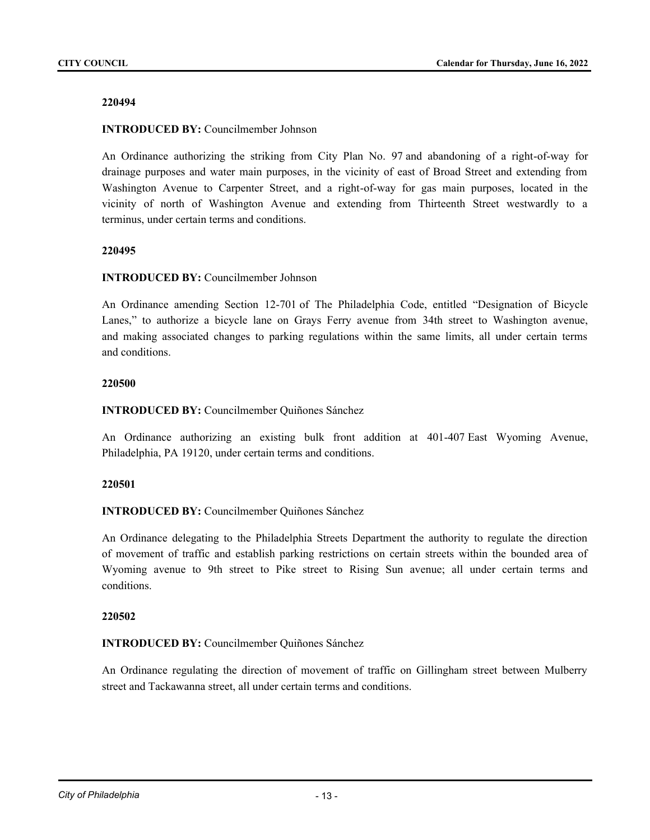### **INTRODUCED BY:** Councilmember Johnson

An Ordinance authorizing the striking from City Plan No. 97 and abandoning of a right-of-way for drainage purposes and water main purposes, in the vicinity of east of Broad Street and extending from Washington Avenue to Carpenter Street, and a right-of-way for gas main purposes, located in the vicinity of north of Washington Avenue and extending from Thirteenth Street westwardly to a terminus, under certain terms and conditions.

#### **220495**

#### **INTRODUCED BY:** Councilmember Johnson

An Ordinance amending Section 12-701 of The Philadelphia Code, entitled "Designation of Bicycle Lanes," to authorize a bicycle lane on Grays Ferry avenue from 34th street to Washington avenue, and making associated changes to parking regulations within the same limits, all under certain terms and conditions.

#### **220500**

#### **INTRODUCED BY:** Councilmember Quiñones Sánchez

An Ordinance authorizing an existing bulk front addition at 401-407 East Wyoming Avenue, Philadelphia, PA 19120, under certain terms and conditions.

# **220501**

# **INTRODUCED BY:** Councilmember Quiñones Sánchez

An Ordinance delegating to the Philadelphia Streets Department the authority to regulate the direction of movement of traffic and establish parking restrictions on certain streets within the bounded area of Wyoming avenue to 9th street to Pike street to Rising Sun avenue; all under certain terms and conditions.

#### **220502**

#### **INTRODUCED BY:** Councilmember Quiñones Sánchez

An Ordinance regulating the direction of movement of traffic on Gillingham street between Mulberry street and Tackawanna street, all under certain terms and conditions.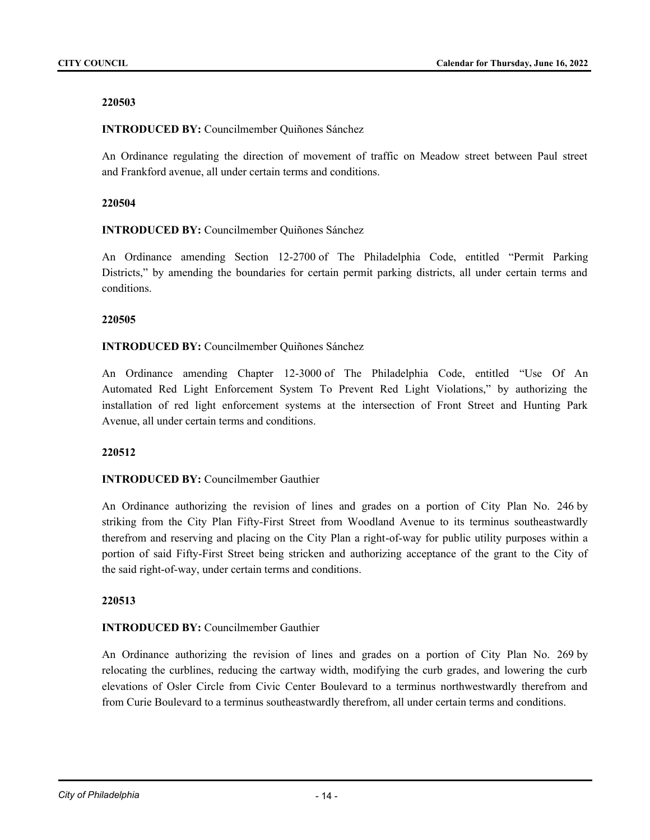# **INTRODUCED BY:** Councilmember Quiñones Sánchez

An Ordinance regulating the direction of movement of traffic on Meadow street between Paul street and Frankford avenue, all under certain terms and conditions.

# **220504**

# **INTRODUCED BY:** Councilmember Quiñones Sánchez

An Ordinance amending Section 12-2700 of The Philadelphia Code, entitled "Permit Parking Districts," by amending the boundaries for certain permit parking districts, all under certain terms and conditions.

# **220505**

# **INTRODUCED BY:** Councilmember Quiñones Sánchez

An Ordinance amending Chapter 12-3000 of The Philadelphia Code, entitled "Use Of An Automated Red Light Enforcement System To Prevent Red Light Violations," by authorizing the installation of red light enforcement systems at the intersection of Front Street and Hunting Park Avenue, all under certain terms and conditions.

# **220512**

# **INTRODUCED BY:** Councilmember Gauthier

An Ordinance authorizing the revision of lines and grades on a portion of City Plan No. 246 by striking from the City Plan Fifty-First Street from Woodland Avenue to its terminus southeastwardly therefrom and reserving and placing on the City Plan a right-of-way for public utility purposes within a portion of said Fifty-First Street being stricken and authorizing acceptance of the grant to the City of the said right-of-way, under certain terms and conditions.

# **220513**

# **INTRODUCED BY:** Councilmember Gauthier

An Ordinance authorizing the revision of lines and grades on a portion of City Plan No. 269 by relocating the curblines, reducing the cartway width, modifying the curb grades, and lowering the curb elevations of Osler Circle from Civic Center Boulevard to a terminus northwestwardly therefrom and from Curie Boulevard to a terminus southeastwardly therefrom, all under certain terms and conditions.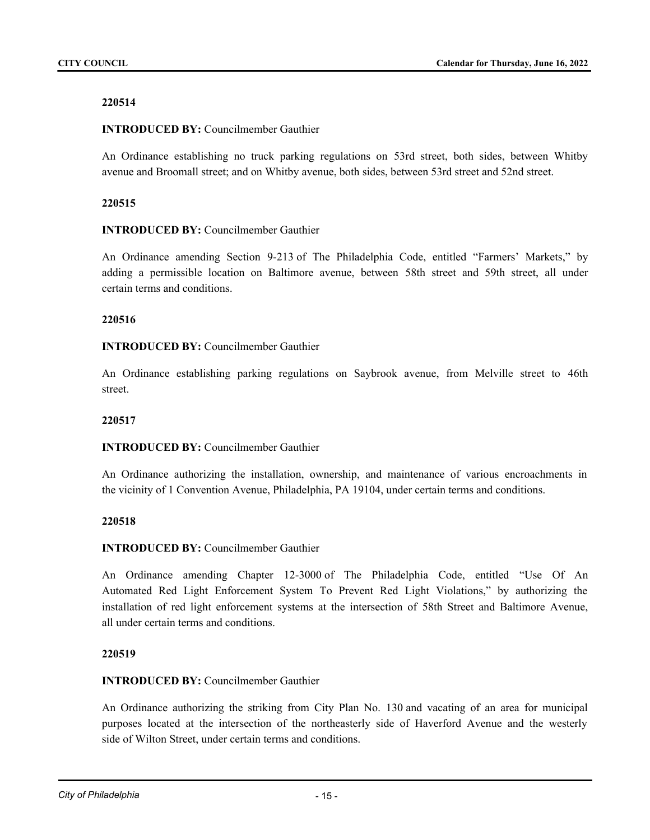# **INTRODUCED BY:** Councilmember Gauthier

An Ordinance establishing no truck parking regulations on 53rd street, both sides, between Whitby avenue and Broomall street; and on Whitby avenue, both sides, between 53rd street and 52nd street.

# **220515**

# **INTRODUCED BY:** Councilmember Gauthier

An Ordinance amending Section 9-213 of The Philadelphia Code, entitled "Farmers' Markets," by adding a permissible location on Baltimore avenue, between 58th street and 59th street, all under certain terms and conditions.

# **220516**

# **INTRODUCED BY:** Councilmember Gauthier

An Ordinance establishing parking regulations on Saybrook avenue, from Melville street to 46th street.

### **220517**

# **INTRODUCED BY:** Councilmember Gauthier

An Ordinance authorizing the installation, ownership, and maintenance of various encroachments in the vicinity of 1 Convention Avenue, Philadelphia, PA 19104, under certain terms and conditions.

# **220518**

# **INTRODUCED BY:** Councilmember Gauthier

An Ordinance amending Chapter 12-3000 of The Philadelphia Code, entitled "Use Of An Automated Red Light Enforcement System To Prevent Red Light Violations," by authorizing the installation of red light enforcement systems at the intersection of 58th Street and Baltimore Avenue, all under certain terms and conditions.

# **220519**

# **INTRODUCED BY:** Councilmember Gauthier

An Ordinance authorizing the striking from City Plan No. 130 and vacating of an area for municipal purposes located at the intersection of the northeasterly side of Haverford Avenue and the westerly side of Wilton Street, under certain terms and conditions.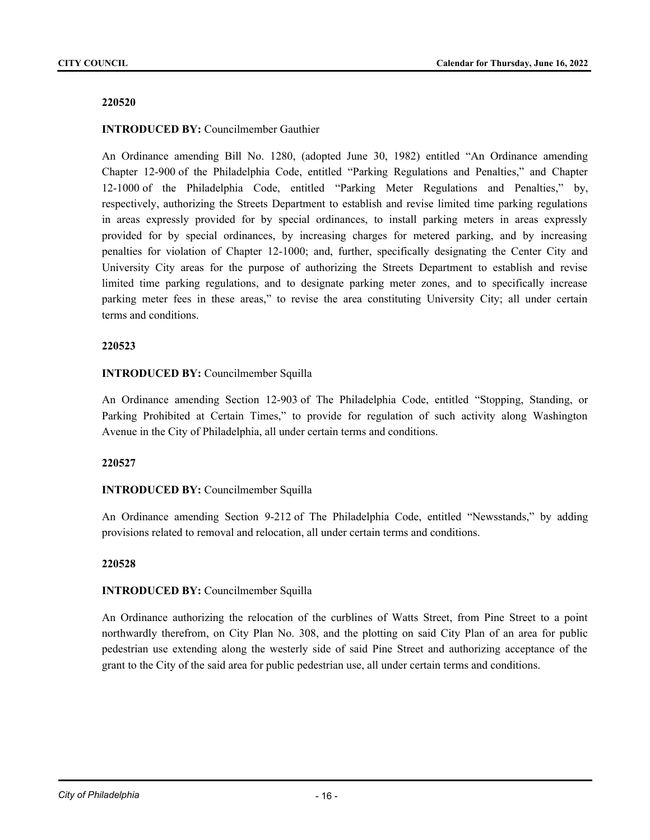### **INTRODUCED BY:** Councilmember Gauthier

An Ordinance amending Bill No. 1280, (adopted June 30, 1982) entitled "An Ordinance amending Chapter 12-900 of the Philadelphia Code, entitled "Parking Regulations and Penalties," and Chapter 12-1000 of the Philadelphia Code, entitled "Parking Meter Regulations and Penalties," by, respectively, authorizing the Streets Department to establish and revise limited time parking regulations in areas expressly provided for by special ordinances, to install parking meters in areas expressly provided for by special ordinances, by increasing charges for metered parking, and by increasing penalties for violation of Chapter 12-1000; and, further, specifically designating the Center City and University City areas for the purpose of authorizing the Streets Department to establish and revise limited time parking regulations, and to designate parking meter zones, and to specifically increase parking meter fees in these areas," to revise the area constituting University City; all under certain terms and conditions.

#### **220523**

# **INTRODUCED BY:** Councilmember Squilla

An Ordinance amending Section 12-903 of The Philadelphia Code, entitled "Stopping, Standing, or Parking Prohibited at Certain Times," to provide for regulation of such activity along Washington Avenue in the City of Philadelphia, all under certain terms and conditions.

#### **220527**

# **INTRODUCED BY:** Councilmember Squilla

An Ordinance amending Section 9-212 of The Philadelphia Code, entitled "Newsstands," by adding provisions related to removal and relocation, all under certain terms and conditions.

#### **220528**

# **INTRODUCED BY:** Councilmember Squilla

An Ordinance authorizing the relocation of the curblines of Watts Street, from Pine Street to a point northwardly therefrom, on City Plan No. 308, and the plotting on said City Plan of an area for public pedestrian use extending along the westerly side of said Pine Street and authorizing acceptance of the grant to the City of the said area for public pedestrian use, all under certain terms and conditions.